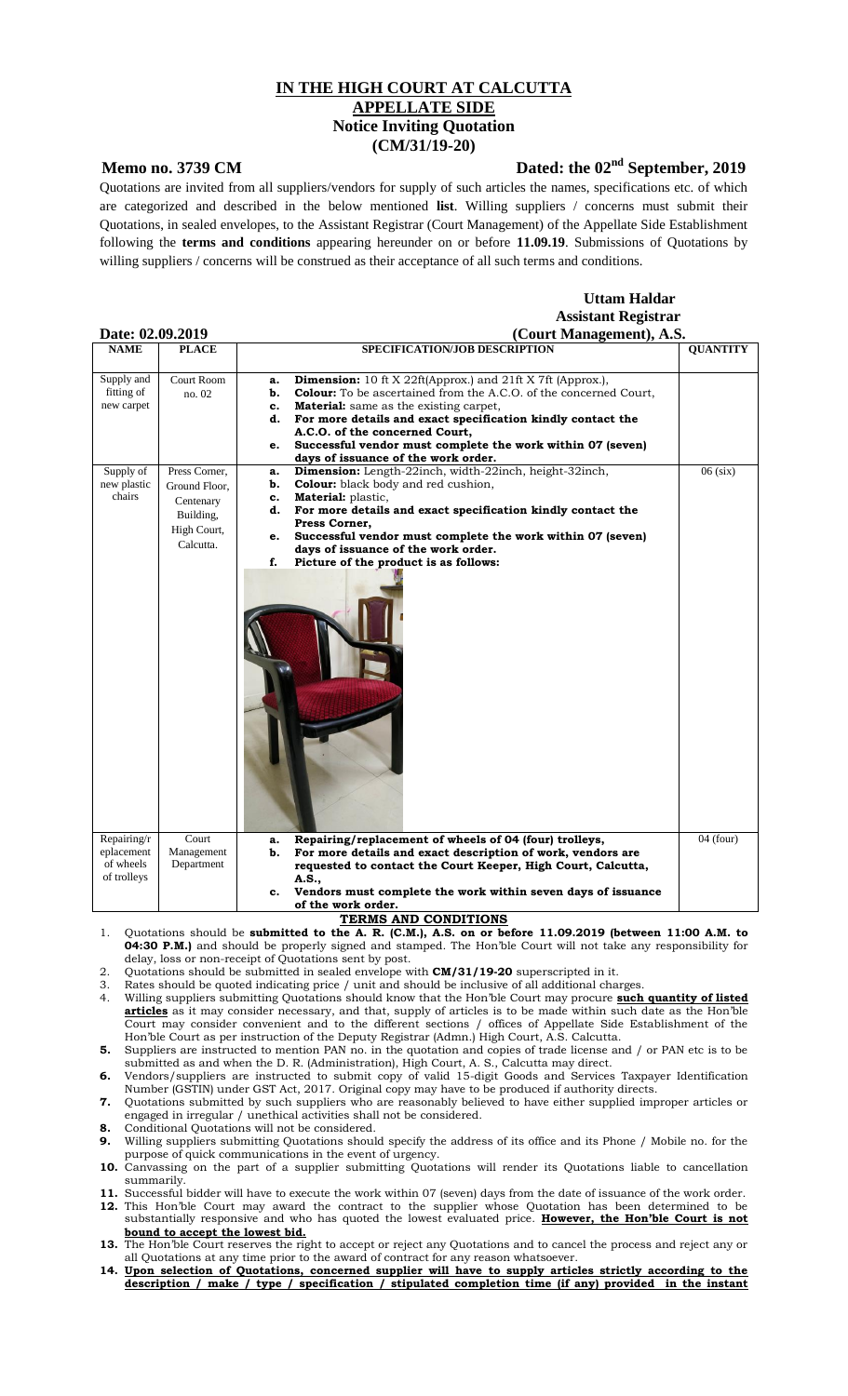## **IN THE HIGH COURT AT CALCUTTA APPELLATE SIDE Notice Inviting Quotation (CM/31/19-20)**

## **Memo no. 3739 CM** Dated: the 02<sup>nd</sup> September, 2019

Quotations are invited from all suppliers/vendors for supply of such articles the names, specifications etc. of which are categorized and described in the below mentioned **list**. Willing suppliers / concerns must submit their Quotations, in sealed envelopes, to the Assistant Registrar (Court Management) of the Appellate Side Establishment following the **terms and conditions** appearing hereunder on or before **11.09.19**. Submissions of Quotations by willing suppliers / concerns will be construed as their acceptance of all such terms and conditions.

## **Uttam Haldar Assistant Registrar Date: 02.09.2019 (Court Management), A.S.**

| Dait. 04.09.401 <i>9</i> |                   | (Court Management), A.D.                                                       |                 |
|--------------------------|-------------------|--------------------------------------------------------------------------------|-----------------|
| <b>NAME</b>              | <b>PLACE</b>      | SPECIFICATION/JOB DESCRIPTION                                                  | <b>QUANTITY</b> |
|                          |                   |                                                                                |                 |
| Supply and               | <b>Court Room</b> |                                                                                |                 |
|                          |                   | Dimension: 10 ft X 22ft(Approx.) and 21ft X 7ft (Approx.),<br>a.               |                 |
| fitting of               | no. 02            | <b>Colour:</b> To be ascertained from the A.C.O. of the concerned Court,<br>b. |                 |
| new carpet               |                   | <b>Material:</b> same as the existing carpet,<br>c.                            |                 |
|                          |                   | For more details and exact specification kindly contact the<br>d.              |                 |
|                          |                   | A.C.O. of the concerned Court,                                                 |                 |
|                          |                   | Successful vendor must complete the work within 07 (seven)<br>e.               |                 |
|                          |                   | days of issuance of the work order.                                            |                 |
| Supply of                | Press Corner,     | <b>Dimension:</b> Length-22inch, width-22inch, height-32inch,<br>a.            | $06$ (six)      |
| new plastic              | Ground Floor.     | <b>Colour:</b> black body and red cushion,<br>b.                               |                 |
| chairs                   | Centenary         | <b>Material:</b> plastic,<br>c.                                                |                 |
|                          |                   | For more details and exact specification kindly contact the<br>d.              |                 |
|                          | Building,         | Press Corner,                                                                  |                 |
|                          | High Court,       | Successful vendor must complete the work within 07 (seven)<br>e.               |                 |
|                          | Calcutta.         | days of issuance of the work order.                                            |                 |
|                          |                   | f.                                                                             |                 |
|                          |                   | Picture of the product is as follows:                                          |                 |
|                          |                   |                                                                                |                 |
|                          |                   |                                                                                |                 |
|                          |                   |                                                                                |                 |
|                          |                   |                                                                                |                 |
|                          |                   |                                                                                |                 |
|                          |                   |                                                                                |                 |
|                          |                   |                                                                                |                 |
|                          |                   |                                                                                |                 |
|                          |                   |                                                                                |                 |
|                          |                   |                                                                                |                 |
|                          |                   |                                                                                |                 |
|                          |                   |                                                                                |                 |
|                          |                   |                                                                                |                 |
|                          |                   |                                                                                |                 |
|                          |                   |                                                                                |                 |
|                          |                   |                                                                                |                 |
|                          |                   |                                                                                |                 |
|                          |                   |                                                                                |                 |
|                          |                   |                                                                                |                 |
|                          |                   |                                                                                |                 |
|                          |                   |                                                                                |                 |
|                          |                   |                                                                                |                 |
| Repairing/r              | Court             | Repairing/replacement of wheels of 04 (four) trolleys,<br>a.                   | $04$ (four)     |
| eplacement               | Management        | For more details and exact description of work, vendors are<br>b.              |                 |
| of wheels                | Department        | requested to contact the Court Keeper, High Court, Calcutta,                   |                 |
| of trolleys              |                   | A.S.,                                                                          |                 |
|                          |                   | Vendors must complete the work within seven days of issuance<br>c.             |                 |
|                          |                   | of the work order.                                                             |                 |
|                          |                   |                                                                                |                 |

- **TERMS AND CONDITIONS** 1. Quotations should be **submitted to the A. R. (C.M.), A.S. on or before 11.09.2019 (between 11:00 A.M. to 04:30 P.M.)** and should be properly signed and stamped. The Hon'ble Court will not take any responsibility for delay, loss or non-receipt of Quotations sent by post.
- 2. Quotations should be submitted in sealed envelope with **CM/31/19-20** superscripted in it.
- 3. Rates should be quoted indicating price / unit and should be inclusive of all additional charges.
- 4. Willing suppliers submitting Quotations should know that the Hon'ble Court may procure **such quantity of listed articles** as it may consider necessary, and that, supply of articles is to be made within such date as the Hon'ble Court may consider convenient and to the different sections / offices of Appellate Side Establishment of the Hon'ble Court as per instruction of the Deputy Registrar (Admn.) High Court, A.S. Calcutta.
- **5.** Suppliers are instructed to mention PAN no. in the quotation and copies of trade license and / or PAN etc is to be submitted as and when the D. R. (Administration), High Court, A. S., Calcutta may direct.
- **6.** Vendors/suppliers are instructed to submit copy of valid 15-digit Goods and Services Taxpayer Identification Number (GSTIN) under GST Act, 2017. Original copy may have to be produced if authority directs.
- **7.** Quotations submitted by such suppliers who are reasonably believed to have either supplied improper articles or engaged in irregular / unethical activities shall not be considered. **8.** Conditional Quotations will not be considered.
- **9.** Willing suppliers submitting Quotations should specify the address of its office and its Phone / Mobile no. for the purpose of quick communications in the event of urgency.
- **10.** Canvassing on the part of a supplier submitting Quotations will render its Quotations liable to cancellation summarily.
- **11.** Successful bidder will have to execute the work within 07 (seven) days from the date of issuance of the work order.
- 12. This Hon'ble Court may award the contract to the supplier whose Quotation has been determined to be substantially responsive and who has quoted the lowest evaluated price. **However, the Hon'ble Court is not bound to accept the lowest bid.**
- **13.** The Hon'ble Court reserves the right to accept or reject any Quotations and to cancel the process and reject any or all Quotations at any time prior to the award of contract for any reason whatsoever.
- **14. Upon selection of Quotations, concerned supplier will have to supply articles strictly according to the description / make / type / specification / stipulated completion time (if any) provided in the instant**